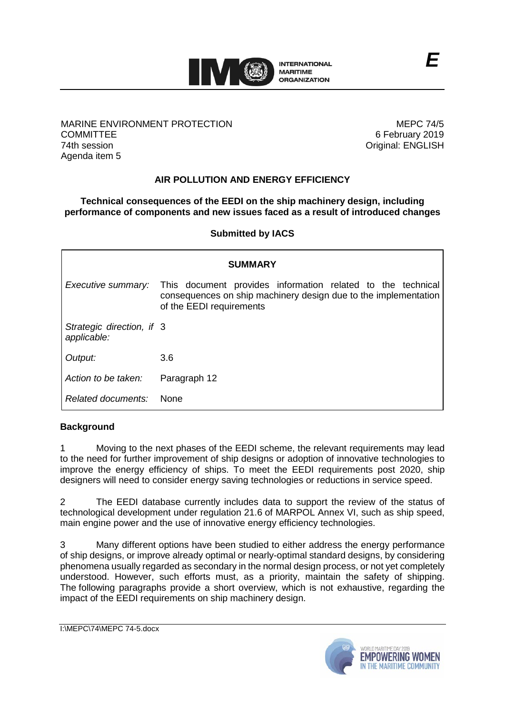

#### MARINE ENVIRONMENT PROTECTION **COMMITTEE** 74th session Agenda item 5

MEPC 74/5 6 February 2019 Original: ENGLISH

# **AIR POLLUTION AND ENERGY EFFICIENCY**

# **Technical consequences of the EEDI on the ship machinery design, including performance of components and new issues faced as a result of introduced changes**

**Submitted by IACS**

| <b>SUMMARY</b>                           |                                                                                                                                                            |
|------------------------------------------|------------------------------------------------------------------------------------------------------------------------------------------------------------|
| Executive summary:                       | This document provides information related to the technical<br>consequences on ship machinery design due to the implementation<br>of the EEDI requirements |
| Strategic direction, if 3<br>applicable: |                                                                                                                                                            |
| Output:                                  | 3.6                                                                                                                                                        |
| Action to be taken:                      | Paragraph 12                                                                                                                                               |
| Related documents:                       | <b>None</b>                                                                                                                                                |

### **Background**

1 Moving to the next phases of the EEDI scheme, the relevant requirements may lead to the need for further improvement of ship designs or adoption of innovative technologies to improve the energy efficiency of ships. To meet the EEDI requirements post 2020, ship designers will need to consider energy saving technologies or reductions in service speed.

2 The EEDI database currently includes data to support the review of the status of technological development under regulation 21.6 of MARPOL Annex VI, such as ship speed, main engine power and the use of innovative energy efficiency technologies.

3 Many different options have been studied to either address the energy performance of ship designs, or improve already optimal or nearly-optimal standard designs, by considering phenomena usually regarded as secondary in the normal design process, or not yet completely understood. However, such efforts must, as a priority, maintain the safety of shipping. The following paragraphs provide a short overview, which is not exhaustive, regarding the impact of the EEDI requirements on ship machinery design.

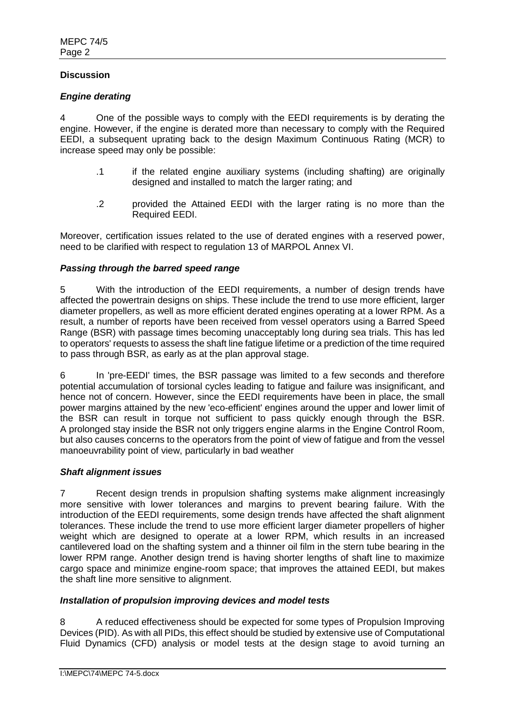# **Discussion**

# *Engine derating*

4 One of the possible ways to comply with the EEDI requirements is by derating the engine. However, if the engine is derated more than necessary to comply with the Required EEDI, a subsequent uprating back to the design Maximum Continuous Rating (MCR) to increase speed may only be possible:

- .1 if the related engine auxiliary systems (including shafting) are originally designed and installed to match the larger rating; and
- .2 provided the Attained EEDI with the larger rating is no more than the Required EEDI.

Moreover, certification issues related to the use of derated engines with a reserved power, need to be clarified with respect to regulation 13 of MARPOL Annex VI.

### *Passing through the barred speed range*

5 With the introduction of the EEDI requirements, a number of design trends have affected the powertrain designs on ships. These include the trend to use more efficient, larger diameter propellers, as well as more efficient derated engines operating at a lower RPM. As a result, a number of reports have been received from vessel operators using a Barred Speed Range (BSR) with passage times becoming unacceptably long during sea trials. This has led to operators' requests to assess the shaft line fatigue lifetime or a prediction of the time required to pass through BSR, as early as at the plan approval stage.

6 In 'pre-EEDI' times, the BSR passage was limited to a few seconds and therefore potential accumulation of torsional cycles leading to fatigue and failure was insignificant, and hence not of concern. However, since the EEDI requirements have been in place, the small power margins attained by the new 'eco-efficient' engines around the upper and lower limit of the BSR can result in torque not sufficient to pass quickly enough through the BSR. A prolonged stay inside the BSR not only triggers engine alarms in the Engine Control Room, but also causes concerns to the operators from the point of view of fatigue and from the vessel manoeuvrability point of view, particularly in bad weather

### *Shaft alignment issues*

7 Recent design trends in propulsion shafting systems make alignment increasingly more sensitive with lower tolerances and margins to prevent bearing failure. With the introduction of the EEDI requirements, some design trends have affected the shaft alignment tolerances. These include the trend to use more efficient larger diameter propellers of higher weight which are designed to operate at a lower RPM, which results in an increased cantilevered load on the shafting system and a thinner oil film in the stern tube bearing in the lower RPM range. Another design trend is having shorter lengths of shaft line to maximize cargo space and minimize engine-room space; that improves the attained EEDI, but makes the shaft line more sensitive to alignment.

### *Installation of propulsion improving devices and model tests*

8 A reduced effectiveness should be expected for some types of Propulsion Improving Devices (PID). As with all PIDs, this effect should be studied by extensive use of Computational Fluid Dynamics (CFD) analysis or model tests at the design stage to avoid turning an